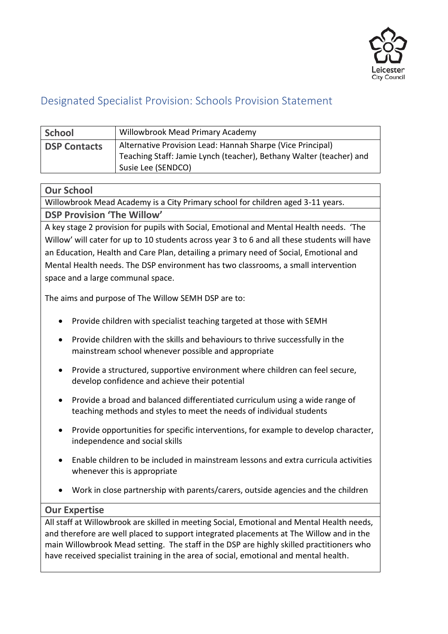

# Designated Specialist Provision: Schools Provision Statement

| <b>School</b>       | Willowbrook Mead Primary Academy                                                                                                                        |
|---------------------|---------------------------------------------------------------------------------------------------------------------------------------------------------|
| <b>DSP Contacts</b> | Alternative Provision Lead: Hannah Sharpe (Vice Principal)<br>Teaching Staff: Jamie Lynch (teacher), Bethany Walter (teacher) and<br>Susie Lee (SENDCO) |

### **Our School**

Willowbrook Mead Academy is a City Primary school for children aged 3-11 years. **DSP Provision 'The Willow'** 

A key stage 2 provision for pupils with Social, Emotional and Mental Health needs. 'The Willow' will cater for up to 10 students across year 3 to 6 and all these students will have an Education, Health and Care Plan, detailing a primary need of Social, Emotional and Mental Health needs. The DSP environment has two classrooms, a small intervention space and a large communal space.

The aims and purpose of The Willow SEMH DSP are to:

- Provide children with specialist teaching targeted at those with SEMH
- Provide children with the skills and behaviours to thrive successfully in the mainstream school whenever possible and appropriate
- Provide a structured, supportive environment where children can feel secure, develop confidence and achieve their potential
- Provide a broad and balanced differentiated curriculum using a wide range of teaching methods and styles to meet the needs of individual students
- Provide opportunities for specific interventions, for example to develop character, independence and social skills
- Enable children to be included in mainstream lessons and extra curricula activities whenever this is appropriate
- Work in close partnership with parents/carers, outside agencies and the children

# **Our Expertise**

All staff at Willowbrook are skilled in meeting Social, Emotional and Mental Health needs, and therefore are well placed to support integrated placements at The Willow and in the main Willowbrook Mead setting. The staff in the DSP are highly skilled practitioners who have received specialist training in the area of social, emotional and mental health.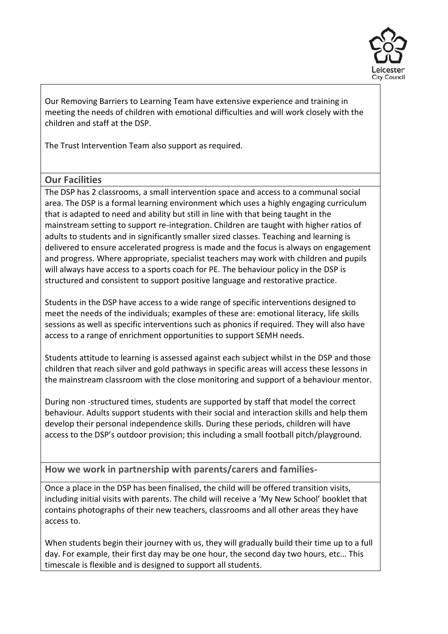

Our Removing Barriers to Learning Team have extensive experience and training in meeting the needs of children with emotional difficulties and will work closely with the children and staff at the DSP.

The Trust Intervention Team also support as required.

# **Our Facilities**

The DSP has 2 classrooms, a small intervention space and access to a communal social area. The DSP is a formal learning environment which uses a highly engaging curriculum that is adapted to need and ability but still in line with that being taught in the mainstream setting to support re-integration. Children are taught with higher ratios of adults to students and in significantly smaller sized classes. Teaching and learning is delivered to ensure accelerated progress is made and the focus is always on engagement and progress. Where appropriate, specialist teachers may work with children and pupils will always have access to a sports coach for PE. The behaviour policy in the DSP is structured and consistent to support positive language and restorative practice.

Students in the DSP have access to a wide range of specific interventions designed to meet the needs of the individuals; examples of these are: emotional literacy, life skills sessions as well as specific interventions such as phonics if required. They will also have access to a range of enrichment opportunities to support SEMH needs.

Students attitude to learning is assessed against each subject whilst in the DSP and those children that reach silver and gold pathways in specific areas will access these lessons in the mainstream classroom with the close monitoring and support of a behaviour mentor.

During non -structured times, students are supported by staff that model the correct behaviour. Adults support students with their social and interaction skills and help them develop their personal independence skills. During these periods, children will have access to the DSP's outdoor provision; this including a small football pitch/playground.

**How we work in partnership with parents/carers and families-**

Once a place in the DSP has been finalised, the child will be offered transition visits, including initial visits with parents. The child will receive a 'My New School' booklet that contains photographs of their new teachers, classrooms and all other areas they have access to.

When students begin their journey with us, they will gradually build their time up to a full day. For example, their first day may be one hour, the second day two hours, etc… This timescale is flexible and is designed to support all students.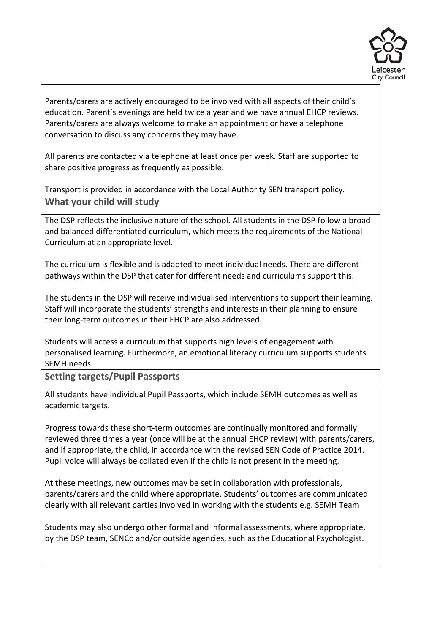

Parents/carers are actively encouraged to be involved with all aspects of their child's education. Parent's evenings are held twice a year and we have annual EHCP reviews. Parents/carers are always welcome to make an appointment or have a telephone conversation to discuss any concerns they may have.

All parents are contacted via telephone at least once per week. Staff are supported to share positive progress as frequently as possible.

Transport is provided in accordance with the Local Authority SEN transport policy. **What your child will study**

The DSP reflects the inclusive nature of the school. All students in the DSP follow a broad and balanced differentiated curriculum, which meets the requirements of the National Curriculum at an appropriate level.

The curriculum is flexible and is adapted to meet individual needs. There are different pathways within the DSP that cater for different needs and curriculums support this.

The students in the DSP will receive individualised interventions to support their learning. Staff will incorporate the students' strengths and interests in their planning to ensure their long-term outcomes in their EHCP are also addressed.

Students will access a curriculum that supports high levels of engagement with personalised learning. Furthermore, an emotional literacy curriculum supports students SEMH needs.

**Setting targets/Pupil Passports**

All students have individual Pupil Passports, which include SEMH outcomes as well as academic targets.

Progress towards these short-term outcomes are continually monitored and formally reviewed three times a year (once will be at the annual EHCP review) with parents/carers, and if appropriate, the child, in accordance with the revised SEN Code of Practice 2014. Pupil voice will always be collated even if the child is not present in the meeting.

At these meetings, new outcomes may be set in collaboration with professionals, parents/carers and the child where appropriate. Students' outcomes are communicated clearly with all relevant parties involved in working with the students e.g. SEMH Team

Students may also undergo other formal and informal assessments, where appropriate, by the DSP team, SENCo and/or outside agencies, such as the Educational Psychologist.